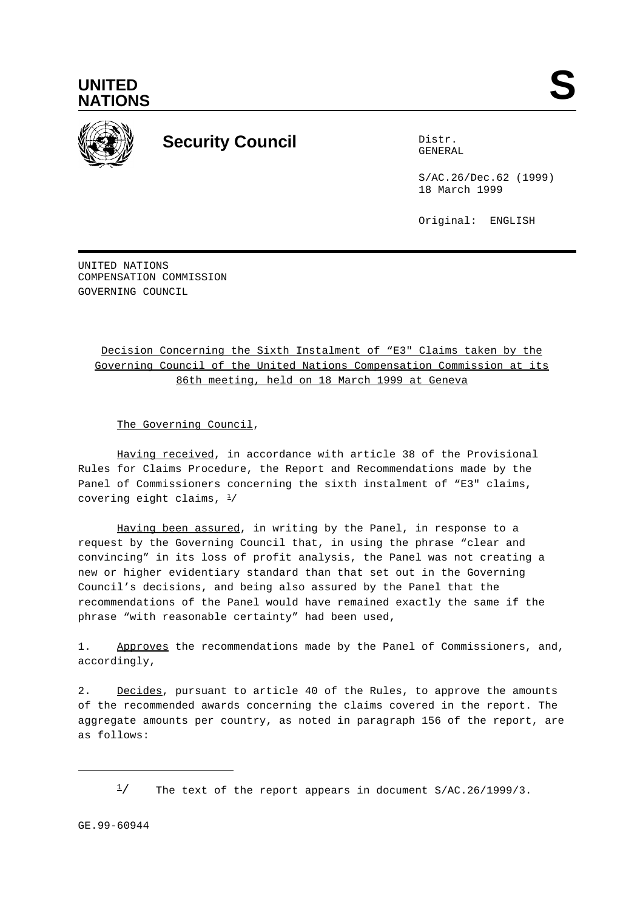



## **Security Council** Distribution of Distribution of Distribution of Distribution of Distribution of Distribution of Distribution of Distribution of Distribution of Distribution of Distribution of Distribution of Distributio

GENERAL

S/AC.26/Dec.62 (1999) 18 March 1999

Original: ENGLISH

UNITED NATIONS COMPENSATION COMMISSION GOVERNING COUNCIL

## Decision Concerning the Sixth Instalment of "E3" Claims taken by the Governing Council of the United Nations Compensation Commission at its 86th meeting, held on 18 March 1999 at Geneva

The Governing Council,

Having received, in accordance with article 38 of the Provisional Rules for Claims Procedure, the Report and Recommendations made by the Panel of Commissioners concerning the sixth instalment of "E3" claims, covering eight claims,  $\frac{1}{2}$ 

Having been assured, in writing by the Panel, in response to a request by the Governing Council that, in using the phrase "clear and convincing" in its loss of profit analysis, the Panel was not creating a new or higher evidentiary standard than that set out in the Governing Council's decisions, and being also assured by the Panel that the recommendations of the Panel would have remained exactly the same if the phrase "with reasonable certainty" had been used,

1. Approves the recommendations made by the Panel of Commissioners, and, accordingly,

2. Decides, pursuant to article 40 of the Rules, to approve the amounts of the recommended awards concerning the claims covered in the report. The aggregate amounts per country, as noted in paragraph 156 of the report, are as follows:

 $\frac{1}{2}$  The text of the report appears in document S/AC.26/1999/3.